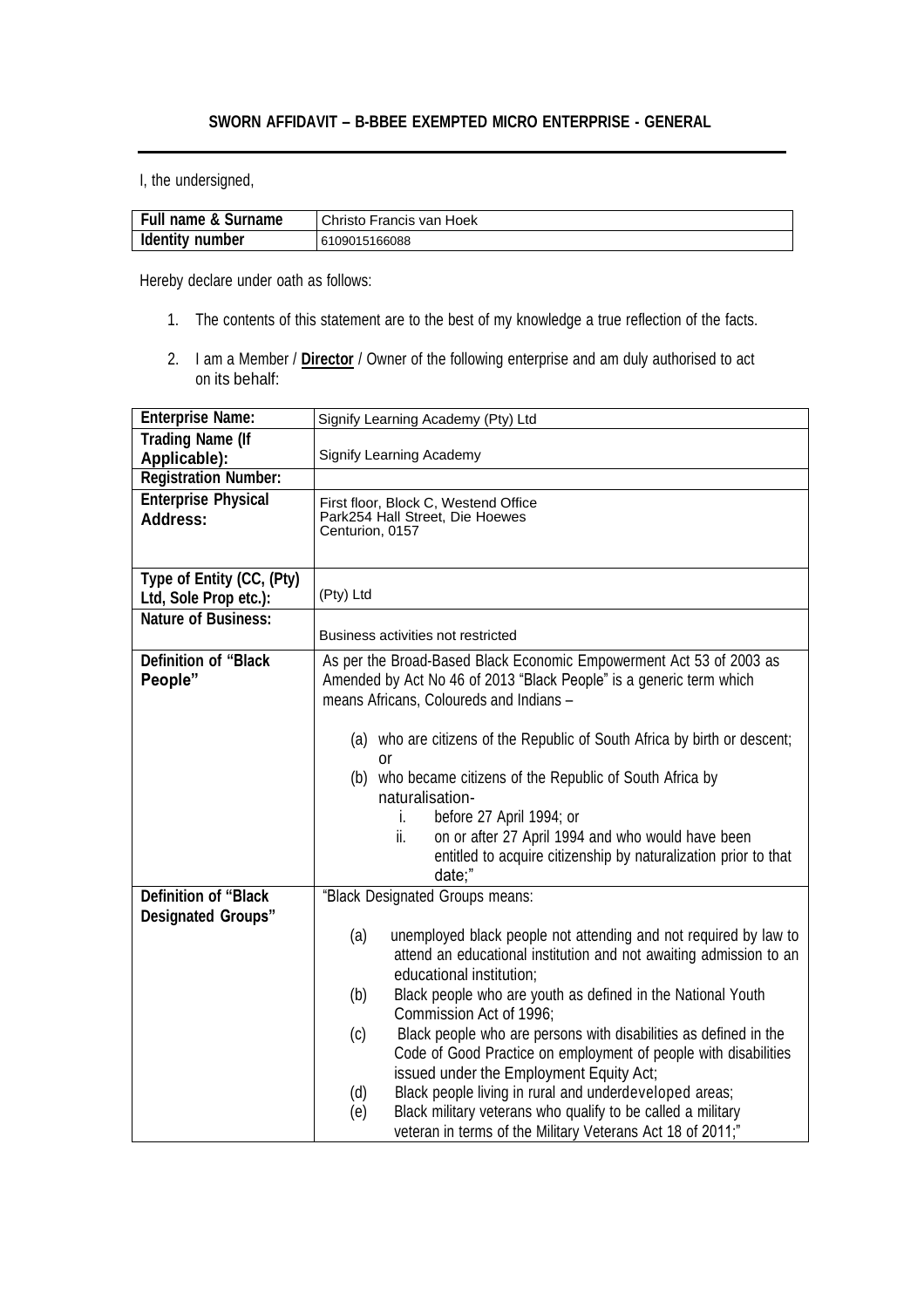## **SWORN AFFIDAVIT – B-BBEE EXEMPTED MICRO ENTERPRISE - GENERAL**

I, the undersigned,

| Full name & Surname | Christo Francis van Hoek |
|---------------------|--------------------------|
| Identity number     | 6109015166088            |

Hereby declare under oath as follows:

- 1. The contents of this statement are to the best of my knowledge a true reflection of the facts.
- 2. I am a Member / **Director** / Owner of the following enterprise and am duly authorised to act on its behalf:

| <b>Enterprise Name:</b>                                  | Signify Learning Academy (Pty) Ltd                                                                                                                                                                                                                                                                                                                                                         |
|----------------------------------------------------------|--------------------------------------------------------------------------------------------------------------------------------------------------------------------------------------------------------------------------------------------------------------------------------------------------------------------------------------------------------------------------------------------|
| <b>Trading Name (If</b>                                  |                                                                                                                                                                                                                                                                                                                                                                                            |
| Applicable):                                             | Signify Learning Academy                                                                                                                                                                                                                                                                                                                                                                   |
| <b>Registration Number:</b>                              |                                                                                                                                                                                                                                                                                                                                                                                            |
| <b>Enterprise Physical</b><br><b>Address:</b>            | First floor, Block C, Westend Office<br>Park254 Hall Street, Die Hoewes<br>Centurion, 0157                                                                                                                                                                                                                                                                                                 |
|                                                          |                                                                                                                                                                                                                                                                                                                                                                                            |
| Type of Entity (CC, (Pty)<br>Ltd, Sole Prop etc.):       | (Pty) Ltd                                                                                                                                                                                                                                                                                                                                                                                  |
| <b>Nature of Business:</b>                               | Business activities not restricted                                                                                                                                                                                                                                                                                                                                                         |
| <b>Definition of "Black</b><br>People"                   | As per the Broad-Based Black Economic Empowerment Act 53 of 2003 as<br>Amended by Act No 46 of 2013 "Black People" is a generic term which<br>means Africans, Coloureds and Indians -                                                                                                                                                                                                      |
|                                                          | (a) who are citizens of the Republic of South Africa by birth or descent;<br>or<br>(b) who became citizens of the Republic of South Africa by<br>naturalisation-<br>before 27 April 1994; or<br>i.<br>on or after 27 April 1994 and who would have been<br>ii.<br>entitled to acquire citizenship by naturalization prior to that<br>date;"                                                |
| <b>Definition of "Black</b><br><b>Designated Groups"</b> | "Black Designated Groups means:                                                                                                                                                                                                                                                                                                                                                            |
|                                                          | unemployed black people not attending and not required by law to<br>(a)<br>attend an educational institution and not awaiting admission to an<br>educational institution;<br>Black people who are youth as defined in the National Youth<br>(b)<br>Commission Act of 1996:                                                                                                                 |
|                                                          | Black people who are persons with disabilities as defined in the<br>(c)<br>Code of Good Practice on employment of people with disabilities<br>issued under the Employment Equity Act;<br>Black people living in rural and underdeveloped areas;<br>(d)<br>Black military veterans who qualify to be called a military<br>(e)<br>veteran in terms of the Military Veterans Act 18 of 2011;" |